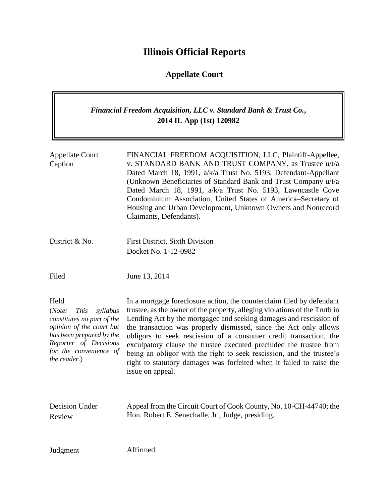# **Illinois Official Reports**

# **Appellate Court**

## *Financial Freedom Acquisition, LLC v. Standard Bank & Trust Co.***, 2014 IL App (1st) 120982**

| <b>Appellate Court</b><br>Caption                                                                                                                                                                  | FINANCIAL FREEDOM ACQUISITION, LLC, Plaintiff-Appellee,<br>v. STANDARD BANK AND TRUST COMPANY, as Trustee u/t/a<br>Dated March 18, 1991, a/k/a Trust No. 5193, Defendant-Appellant<br>(Unknown Beneficiaries of Standard Bank and Trust Company u/t/a<br>Dated March 18, 1991, a/k/a Trust No. 5193, Lawncastle Cove<br>Condominium Association, United States of America–Secretary of<br>Housing and Urban Development, Unknown Owners and Nonrecord<br>Claimants, Defendants).                                                                                                                               |
|----------------------------------------------------------------------------------------------------------------------------------------------------------------------------------------------------|----------------------------------------------------------------------------------------------------------------------------------------------------------------------------------------------------------------------------------------------------------------------------------------------------------------------------------------------------------------------------------------------------------------------------------------------------------------------------------------------------------------------------------------------------------------------------------------------------------------|
| District & No.                                                                                                                                                                                     | <b>First District, Sixth Division</b><br>Docket No. 1-12-0982                                                                                                                                                                                                                                                                                                                                                                                                                                                                                                                                                  |
| Filed                                                                                                                                                                                              | June 13, 2014                                                                                                                                                                                                                                                                                                                                                                                                                                                                                                                                                                                                  |
| Held<br>(Note:<br><b>This</b><br>syllabus<br>constitutes no part of the<br>opinion of the court but<br>has been prepared by the<br>Reporter of Decisions<br>for the convenience of<br>the reader.) | In a mortgage foreclosure action, the counterclaim filed by defendant<br>trustee, as the owner of the property, alleging violations of the Truth in<br>Lending Act by the mortgagee and seeking damages and rescission of<br>the transaction was properly dismissed, since the Act only allows<br>obligors to seek rescission of a consumer credit transaction, the<br>exculpatory clause the trustee executed precluded the trustee from<br>being an obligor with the right to seek rescission, and the trustee's<br>right to statutory damages was forfeited when it failed to raise the<br>issue on appeal. |
| Decision Under<br>Review                                                                                                                                                                           | Appeal from the Circuit Court of Cook County, No. 10-CH-44740; the<br>Hon. Robert E. Senechalle, Jr., Judge, presiding.                                                                                                                                                                                                                                                                                                                                                                                                                                                                                        |

Judgment Affirmed.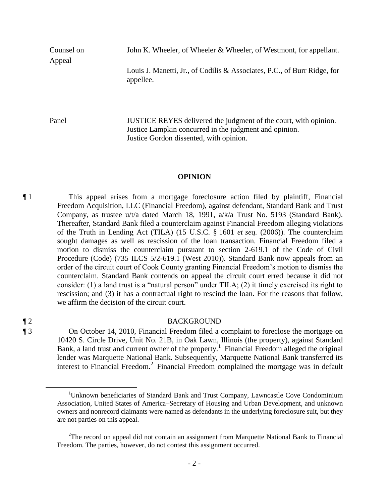John K. Wheeler, of Wheeler & Wheeler, of Westmont, for appellant.

Appeal

Counsel on

Louis J. Manetti, Jr., of Codilis & Associates, P.C., of Burr Ridge, for appellee.

Panel JUSTICE REYES delivered the judgment of the court, with opinion. Justice Lampkin concurred in the judgment and opinion. Justice Gordon dissented, with opinion.

#### **OPINION**

¶ 1 This appeal arises from a mortgage foreclosure action filed by plaintiff, Financial Freedom Acquisition, LLC (Financial Freedom), against defendant, Standard Bank and Trust Company, as trustee u/t/a dated March 18, 1991, a/k/a Trust No. 5193 (Standard Bank). Thereafter, Standard Bank filed a counterclaim against Financial Freedom alleging violations of the Truth in Lending Act (TILA) (15 U.S.C. § 1601 *et seq.* (2006)). The counterclaim sought damages as well as rescission of the loan transaction. Financial Freedom filed a motion to dismiss the counterclaim pursuant to section 2-619.1 of the Code of Civil Procedure (Code) (735 ILCS 5/2-619.1 (West 2010)). Standard Bank now appeals from an order of the circuit court of Cook County granting Financial Freedom's motion to dismiss the counterclaim. Standard Bank contends on appeal the circuit court erred because it did not consider: (1) a land trust is a "natural person" under TILA; (2) it timely exercised its right to rescission; and (3) it has a contractual right to rescind the loan. For the reasons that follow, we affirm the decision of the circuit court.

 $\overline{a}$ 

### ¶ 2 BACKGROUND

¶ 3 On October 14, 2010, Financial Freedom filed a complaint to foreclose the mortgage on 10420 S. Circle Drive, Unit No. 21B, in Oak Lawn, Illinois (the property), against Standard Bank, a land trust and current owner of the property.<sup>1</sup> Financial Freedom alleged the original lender was Marquette National Bank. Subsequently, Marquette National Bank transferred its interest to Financial Freedom.<sup>2</sup> Financial Freedom complained the mortgage was in default

<sup>&</sup>lt;sup>1</sup>Unknown beneficiaries of Standard Bank and Trust Company, Lawncastle Cove Condominium Association, United States of America–Secretary of Housing and Urban Development, and unknown owners and nonrecord claimants were named as defendants in the underlying foreclosure suit, but they are not parties on this appeal.

<sup>&</sup>lt;sup>2</sup>The record on appeal did not contain an assignment from Marquette National Bank to Financial Freedom. The parties, however, do not contest this assignment occurred.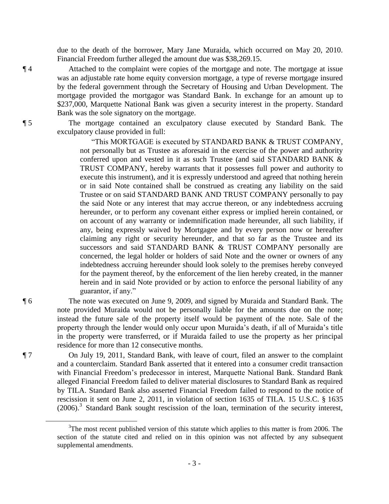due to the death of the borrower, Mary Jane Muraida, which occurred on May 20, 2010. Financial Freedom further alleged the amount due was \$38,269.15.

¶ 4 Attached to the complaint were copies of the mortgage and note. The mortgage at issue was an adjustable rate home equity conversion mortgage, a type of reverse mortgage insured by the federal government through the Secretary of Housing and Urban Development. The mortgage provided the mortgagor was Standard Bank. In exchange for an amount up to \$237,000, Marquette National Bank was given a security interest in the property. Standard Bank was the sole signatory on the mortgage.

¶ 5 The mortgage contained an exculpatory clause executed by Standard Bank. The exculpatory clause provided in full:

> "This MORTGAGE is executed by STANDARD BANK & TRUST COMPANY, not personally but as Trustee as aforesaid in the exercise of the power and authority conferred upon and vested in it as such Trustee (and said STANDARD BANK & TRUST COMPANY, hereby warrants that it possesses full power and authority to execute this instrument), and it is expressly understood and agreed that nothing herein or in said Note contained shall be construed as creating any liability on the said Trustee or on said STANDARD BANK AND TRUST COMPANY personally to pay the said Note or any interest that may accrue thereon, or any indebtedness accruing hereunder, or to perform any covenant either express or implied herein contained, or on account of any warranty or indemnification made hereunder, all such liability, if any, being expressly waived by Mortgagee and by every person now or hereafter claiming any right or security hereunder, and that so far as the Trustee and its successors and said STANDARD BANK & TRUST COMPANY personally are concerned, the legal holder or holders of said Note and the owner or owners of any indebtedness accruing hereunder should look solely to the premises hereby conveyed for the payment thereof, by the enforcement of the lien hereby created, in the manner herein and in said Note provided or by action to enforce the personal liability of any guarantor, if any."

¶ 6 The note was executed on June 9, 2009, and signed by Muraida and Standard Bank. The note provided Muraida would not be personally liable for the amounts due on the note; instead the future sale of the property itself would be payment of the note. Sale of the property through the lender would only occur upon Muraida's death, if all of Muraida's title in the property were transferred, or if Muraida failed to use the property as her principal residence for more than 12 consecutive months.

¶ 7 On July 19, 2011, Standard Bank, with leave of court, filed an answer to the complaint and a counterclaim. Standard Bank asserted that it entered into a consumer credit transaction with Financial Freedom's predecessor in interest, Marquette National Bank. Standard Bank alleged Financial Freedom failed to deliver material disclosures to Standard Bank as required by TILA. Standard Bank also asserted Financial Freedom failed to respond to the notice of rescission it sent on June 2, 2011, in violation of section 1635 of TILA. 15 U.S.C. § 1635  $(2006).$ <sup>3</sup> Standard Bank sought rescission of the loan, termination of the security interest,

 $3$ The most recent published version of this statute which applies to this matter is from 2006. The section of the statute cited and relied on in this opinion was not affected by any subsequent supplemental amendments.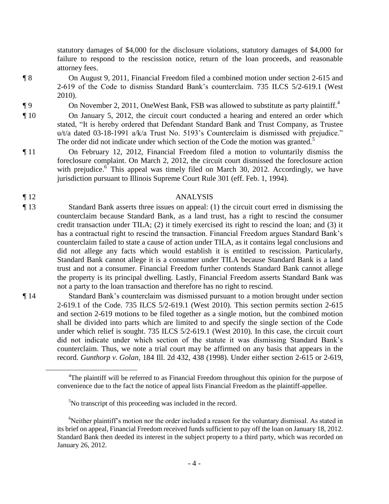statutory damages of \$4,000 for the disclosure violations, statutory damages of \$4,000 for failure to respond to the rescission notice, return of the loan proceeds, and reasonable attorney fees.

- ¶ 8 On August 9, 2011, Financial Freedom filed a combined motion under section 2-615 and 2-619 of the Code to dismiss Standard Bank's counterclaim. 735 ILCS 5/2-619.1 (West 2010).
- $\P$  9 On November 2, 2011, OneWest Bank, FSB was allowed to substitute as party plaintiff.<sup>4</sup>

¶ 10 On January 5, 2012, the circuit court conducted a hearing and entered an order which stated, "It is hereby ordered that Defendant Standard Bank and Trust Company, as Trustee u/t/a dated 03-18-1991 a/k/a Trust No. 5193's Counterclaim is dismissed with prejudice." The order did not indicate under which section of the Code the motion was granted.<sup>5</sup>

¶ 11 On February 12, 2012, Financial Freedom filed a motion to voluntarily dismiss the foreclosure complaint. On March 2, 2012, the circuit court dismissed the foreclosure action with prejudice.<sup>6</sup> This appeal was timely filed on March 30, 2012. Accordingly, we have jurisdiction pursuant to Illinois Supreme Court Rule 301 (eff. Feb. 1, 1994).

### ¶ 12 ANALYSIS

¶ 13 Standard Bank asserts three issues on appeal: (1) the circuit court erred in dismissing the counterclaim because Standard Bank, as a land trust, has a right to rescind the consumer credit transaction under TILA; (2) it timely exercised its right to rescind the loan; and (3) it has a contractual right to rescind the transaction. Financial Freedom argues Standard Bank's counterclaim failed to state a cause of action under TILA, as it contains legal conclusions and did not allege any facts which would establish it is entitled to rescission. Particularly, Standard Bank cannot allege it is a consumer under TILA because Standard Bank is a land trust and not a consumer. Financial Freedom further contends Standard Bank cannot allege the property is its principal dwelling. Lastly, Financial Freedom asserts Standard Bank was not a party to the loan transaction and therefore has no right to rescind.

¶ 14 Standard Bank's counterclaim was dismissed pursuant to a motion brought under section 2-619.1 of the Code. 735 ILCS 5/2-619.1 (West 2010). This section permits section 2-615 and section 2-619 motions to be filed together as a single motion, but the combined motion shall be divided into parts which are limited to and specify the single section of the Code under which relief is sought. 735 ILCS 5/2-619.1 (West 2010). In this case, the circuit court did not indicate under which section of the statute it was dismissing Standard Bank's counterclaim. Thus, we note a trial court may be affirmed on any basis that appears in the record. *Gunthorp v. Golan*, 184 Ill. 2d 432, 438 (1998). Under either section 2-615 or 2-619,

<sup>&</sup>lt;sup>4</sup>The plaintiff will be referred to as Financial Freedom throughout this opinion for the purpose of convenience due to the fact the notice of appeal lists Financial Freedom as the plaintiff-appellee.

<sup>&</sup>lt;sup>5</sup>No transcript of this proceeding was included in the record.

<sup>&</sup>lt;sup>6</sup>Neither plaintiff's motion nor the order included a reason for the voluntary dismissal. As stated in its brief on appeal, Financial Freedom received funds sufficient to pay off the loan on January 18, 2012. Standard Bank then deeded its interest in the subject property to a third party, which was recorded on January 26, 2012.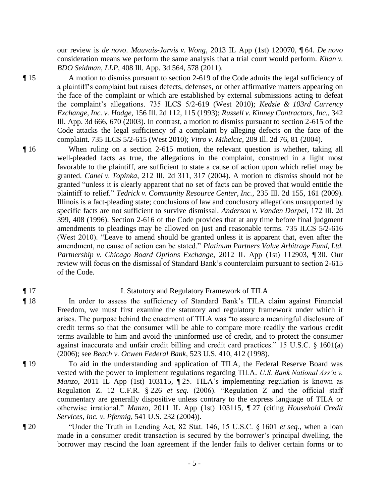our review is *de novo*. *Mauvais-Jarvis v. Wong*, 2013 IL App (1st) 120070, ¶ 64. *De novo* consideration means we perform the same analysis that a trial court would perform. *Khan v. BDO Seidman*, *LLP*, 408 Ill. App. 3d 564, 578 (2011).

¶ 15 A motion to dismiss pursuant to section 2-619 of the Code admits the legal sufficiency of a plaintiff's complaint but raises defects, defenses, or other affirmative matters appearing on the face of the complaint or which are established by external submissions acting to defeat the complaint's allegations. 735 ILCS 5/2-619 (West 2010); *Kedzie & 103rd Currency Exchange, Inc. v. Hodge*, 156 Ill. 2d 112, 115 (1993); *Russell v. Kinney Contractors, Inc.*, 342 Ill. App. 3d 666, 670 (2003). In contrast, a motion to dismiss pursuant to section 2-615 of the Code attacks the legal sufficiency of a complaint by alleging defects on the face of the complaint. 735 ILCS 5/2-615 (West 2010); *Vitro v. Mihelcic*, 209 Ill. 2d 76, 81 (2004).

¶ 16 When ruling on a section 2-615 motion, the relevant question is whether, taking all well-pleaded facts as true, the allegations in the complaint, construed in a light most favorable to the plaintiff, are sufficient to state a cause of action upon which relief may be granted. *Canel v. Topinka*, 212 Ill. 2d 311, 317 (2004). A motion to dismiss should not be granted "unless it is clearly apparent that no set of facts can be proved that would entitle the plaintiff to relief." *Tedrick v. Community Resource Center, Inc.*, 235 Ill. 2d 155, 161 (2009). Illinois is a fact-pleading state; conclusions of law and conclusory allegations unsupported by specific facts are not sufficient to survive dismissal. *Anderson v. Vanden Dorpel*, 172 Ill. 2d 399, 408 (1996). Section 2-616 of the Code provides that at any time before final judgment amendments to pleadings may be allowed on just and reasonable terms. 735 ILCS 5/2-616 (West 2010). "Leave to amend should be granted unless it is apparent that, even after the amendment, no cause of action can be stated." *Platinum Partners Value Arbitrage Fund, Ltd. Partnership v. Chicago Board Options Exchange*, 2012 IL App (1st) 112903, ¶ 30. Our review will focus on the dismissal of Standard Bank's counterclaim pursuant to section 2-615 of the Code.

### ¶ 17 I. Statutory and Regulatory Framework of TILA

- ¶ 18 In order to assess the sufficiency of Standard Bank's TILA claim against Financial Freedom, we must first examine the statutory and regulatory framework under which it arises. The purpose behind the enactment of TILA was "to assure a meaningful disclosure of credit terms so that the consumer will be able to compare more readily the various credit terms available to him and avoid the uninformed use of credit, and to protect the consumer against inaccurate and unfair credit billing and credit card practices." 15 U.S.C. § 1601(a) (2006); see *Beach v. Ocwen Federal Bank*, 523 U.S. 410, 412 (1998).
- ¶ 19 To aid in the understanding and application of TILA, the Federal Reserve Board was vested with the power to implement regulations regarding TILA. *U.S. Bank National Ass'n v. Manzo*, 2011 IL App (1st) 103115, ¶ 25. TILA's implementing regulation is known as Regulation Z. 12 C.F.R. § 226 *et seq.* (2006). "Regulation Z and the official staff commentary are generally dispositive unless contrary to the express language of TILA or otherwise irrational." *Manzo*, 2011 IL App (1st) 103115, ¶ 27 (citing *Household Credit Services, Inc. v. Pfennig*, 541 U.S. 232 (2004)).
- ¶ 20 "Under the Truth in Lending Act, 82 Stat. 146, 15 U.S.C. § 1601 *et seq.*, when a loan made in a consumer credit transaction is secured by the borrower's principal dwelling, the borrower may rescind the loan agreement if the lender fails to deliver certain forms or to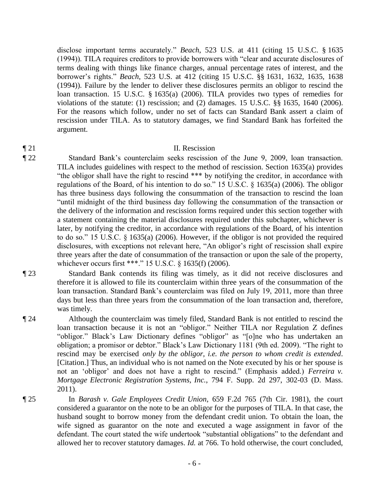disclose important terms accurately." *Beach*, 523 U.S. at 411 (citing 15 U.S.C. § 1635 (1994)). TILA requires creditors to provide borrowers with "clear and accurate disclosures of terms dealing with things like finance charges, annual percentage rates of interest, and the borrower's rights." *Beach*, 523 U.S. at 412 (citing 15 U.S.C. §§ 1631, 1632, 1635, 1638 (1994)). Failure by the lender to deliver these disclosures permits an obligor to rescind the loan transaction. 15 U.S.C. § 1635(a) (2006). TILA provides two types of remedies for violations of the statute: (1) rescission; and (2) damages. 15 U.S.C. §§ 1635, 1640 (2006). For the reasons which follow, under no set of facts can Standard Bank assert a claim of rescission under TILA. As to statutory damages, we find Standard Bank has forfeited the argument.

### ¶ 21 II. Rescission

¶ 22 Standard Bank's counterclaim seeks rescission of the June 9, 2009, loan transaction. TILA includes guidelines with respect to the method of rescission. Section 1635(a) provides "the obligor shall have the right to rescind \*\*\* by notifying the creditor, in accordance with regulations of the Board, of his intention to do so." 15 U.S.C. § 1635(a) (2006). The obligor has three business days following the consummation of the transaction to rescind the loan "until midnight of the third business day following the consummation of the transaction or the delivery of the information and rescission forms required under this section together with a statement containing the material disclosures required under this subchapter, whichever is later, by notifying the creditor, in accordance with regulations of the Board, of his intention to do so." 15 U.S.C. § 1635(a) (2006). However, if the obligor is not provided the required disclosures, with exceptions not relevant here, "An obligor's right of rescission shall expire three years after the date of consummation of the transaction or upon the sale of the property, whichever occurs first \*\*\*." 15 U.S.C. § 1635(f) (2006).

¶ 23 Standard Bank contends its filing was timely, as it did not receive disclosures and therefore it is allowed to file its counterclaim within three years of the consummation of the loan transaction. Standard Bank's counterclaim was filed on July 19, 2011, more than three days but less than three years from the consummation of the loan transaction and, therefore, was timely.

- ¶ 24 Although the counterclaim was timely filed, Standard Bank is not entitled to rescind the loan transaction because it is not an "obligor." Neither TILA nor Regulation Z defines "obligor." Black's Law Dictionary defines "obligor" as "[o]ne who has undertaken an obligation; a promisor or debtor." Black's Law Dictionary 1181 (9th ed. 2009). "The right to rescind may be exercised *only by the obligor, i.e. the person to whom credit is extended*. [Citation.] Thus, an individual who is not named on the Note executed by his or her spouse is not an 'obligor' and does not have a right to rescind." (Emphasis added.) *Ferreira v. Mortgage Electronic Registration Systems, Inc.*, 794 F. Supp. 2d 297, 302-03 (D. Mass. 2011).
- ¶ 25 In *Barash v. Gale Employees Credit Union*, 659 F.2d 765 (7th Cir. 1981), the court considered a guarantor on the note to be an obligor for the purposes of TILA. In that case, the husband sought to borrow money from the defendant credit union. To obtain the loan, the wife signed as guarantor on the note and executed a wage assignment in favor of the defendant. The court stated the wife undertook "substantial obligations" to the defendant and allowed her to recover statutory damages. *Id.* at 766. To hold otherwise, the court concluded,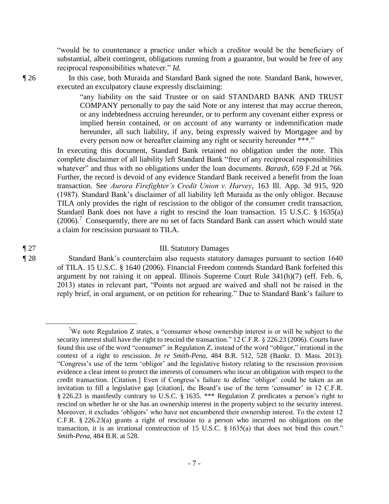"would be to countenance a practice under which a creditor would be the beneficiary of substantial, albeit contingent, obligations running from a guarantor, but would be free of any reciprocal responsibilities whatever." *Id.*

¶ 26 In this case, both Muraida and Standard Bank signed the note. Standard Bank, however, executed an exculpatory clause expressly disclaiming:

> "any liability on the said Trustee or on said STANDARD BANK AND TRUST COMPANY personally to pay the said Note or any interest that may accrue thereon, or any indebtedness accruing hereunder, or to perform any covenant either express or implied herein contained, or on account of any warranty or indemnification made hereunder, all such liability, if any, being expressly waived by Mortgagee and by every person now or hereafter claiming any right or security hereunder \*\*\*."

In executing this document, Standard Bank retained no obligation under the note. This complete disclaimer of all liability left Standard Bank "free of any reciprocal responsibilities whatever" and thus with no obligations under the loan documents. *Barash*, 659 F.2d at 766. Further, the record is devoid of any evidence Standard Bank received a benefit from the loan transaction. See *Aurora Firefighter's Credit Union v. Harvey*, 163 Ill. App. 3d 915, 920 (1987). Standard Bank's disclaimer of all liability left Muraida as the only obligor. Because TILA only provides the right of rescission to the obligor of the consumer credit transaction, Standard Bank does not have a right to rescind the loan transaction. 15 U.S.C. § 1635(a)  $(2006).$ <sup>7</sup> Consequently, there are no set of facts Standard Bank can assert which would state a claim for rescission pursuant to TILA.

### ¶ 27 III. Statutory Damages

¶ 28 Standard Bank's counterclaim also requests statutory damages pursuant to section 1640 of TILA. 15 U.S.C. § 1640 (2006). Financial Freedom contends Standard Bank forfeited this argument by not raising it on appeal. Illinois Supreme Court Rule 341(h)(7) (eff. Feb. 6, 2013) states in relevant part, "Points not argued are waived and shall not be raised in the reply brief, in oral argument, or on petition for rehearing." Due to Standard Bank's failure to

We note Regulation Z states, a "consumer whose ownership interest is or will be subject to the security interest shall have the right to rescind the transaction." 12 C.F.R. § 226.23 (2006). Courts have found this use of the word "consumer" in Regulation Z, instead of the word "obligor," irrational in the context of a right to rescission. *In re Smith-Pena*, 484 B.R. 512, 528 (Bankr. D. Mass. 2013). "Congress's use of the term 'obligor' and the legislative history relating to the rescission provision evidence a clear intent to protect the interests of consumers who incur an obligation with respect to the credit transaction. [Citation.] Even if Congress's failure to define 'obligor' could be taken as an invitation to fill a legislative gap [citation], the Board's use of the term 'consumer' in 12 C.F.R. § 226.23 is manifestly contrary to U.S.C. § 1635. \*\*\* Regulation Z predicates a person's right to rescind on whether he or she has an ownership interest in the property subject to the security interest. Moreover, it excludes 'obligors' who have not encumbered their ownership interest. To the extent 12 C.F.R. § 226.23(a) grants a right of rescission to a person who incurred no obligations on the transaction, it is an irrational construction of 15 U.S.C. § 1635(a) that does not bind this court." *Smith-Pena*, 484 B.R. at 528.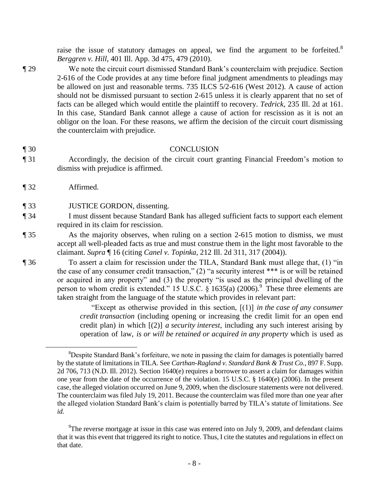raise the issue of statutory damages on appeal, we find the argument to be forfeited.<sup>8</sup> *Berggren v. Hill*, 401 Ill. App. 3d 475, 479 (2010).

¶ 29 We note the circuit court dismissed Standard Bank's counterclaim with prejudice. Section 2-616 of the Code provides at any time before final judgment amendments to pleadings may be allowed on just and reasonable terms. 735 ILCS 5/2-616 (West 2012). A cause of action should not be dismissed pursuant to section 2-615 unless it is clearly apparent that no set of facts can be alleged which would entitle the plaintiff to recovery. *Tedrick*, 235 Ill. 2d at 161. In this case, Standard Bank cannot allege a cause of action for rescission as it is not an obligor on the loan. For these reasons, we affirm the decision of the circuit court dismissing the counterclaim with prejudice.

#### ¶ 30 CONCLUSION

- ¶ 31 Accordingly, the decision of the circuit court granting Financial Freedom's motion to dismiss with prejudice is affirmed.
- ¶ 32 Affirmed.

¶ 33 JUSTICE GORDON, dissenting.

- ¶ 34 I must dissent because Standard Bank has alleged sufficient facts to support each element required in its claim for rescission.
- ¶ 35 As the majority observes, when ruling on a section 2-615 motion to dismiss, we must accept all well-pleaded facts as true and must construe them in the light most favorable to the claimant. *Supra* ¶ 16 (citing *Canel v. Topinka*, 212 Ill. 2d 311, 317 (2004)).

¶ 36 To assert a claim for rescission under the TILA, Standard Bank must allege that, (1) "in the case of any consumer credit transaction," (2) "a security interest \*\*\* is or will be retained or acquired in any property" and (3) the property "is used as the principal dwelling of the person to whom credit is extended." 15 U.S.C.  $\frac{8}{9}$  1635(a) (2006).<sup>9</sup> These three elements are taken straight from the language of the statute which provides in relevant part:

> "Except as otherwise provided in this section, [(1)] *in the case of any consumer credit transaction* (including opening or increasing the credit limit for an open end credit plan) in which [(2)] *a security interest*, including any such interest arising by operation of law, *is or will be retained or acquired in any property* which is used as

- 8 -

 $8$ Despite Standard Bank's forfeiture, we note in passing the claim for damages is potentially barred by the statute of limitations in TILA. See *Carthan-Ragland v. Standard Bank & Trust Co.*, 897 F. Supp. 2d 706, 713 (N.D. Ill. 2012). Section 1640(e) requires a borrower to assert a claim for damages within one year from the date of the occurrence of the violation. 15 U.S.C. § 1640(e) (2006). In the present case, the alleged violation occurred on June 9, 2009, when the disclosure statements were not delivered. The counterclaim was filed July 19, 2011. Because the counterclaim was filed more than one year after the alleged violation Standard Bank's claim is potentially barred by TILA's statute of limitations. See *id.*

<sup>&</sup>lt;sup>9</sup>The reverse mortgage at issue in this case was entered into on July 9, 2009, and defendant claims that it was this event that triggered its right to notice. Thus, I cite the statutes and regulations in effect on that date.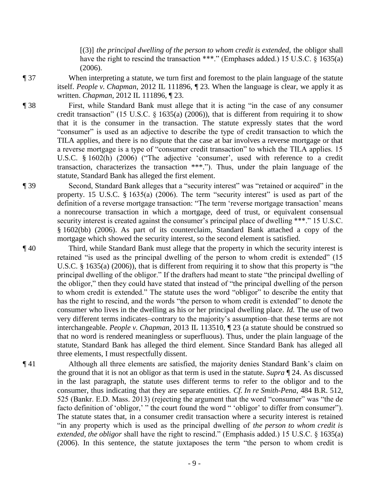[(3)] *the principal dwelling of the person to whom credit is extended*, the obligor shall have the right to rescind the transaction \*\*\*." (Emphases added.) 15 U.S.C. § 1635(a) (2006).

- ¶ 37 When interpreting a statute, we turn first and foremost to the plain language of the statute itself. *People v. Chapman*, 2012 IL 111896, ¶ 23. When the language is clear, we apply it as written. *Chapman*, 2012 IL 111896, ¶ 23.
- ¶ 38 First, while Standard Bank must allege that it is acting "in the case of any consumer credit transaction" (15 U.S.C. § 1635(a) (2006)), that is different from requiring it to show that it is the consumer in the transaction. The statute expressly states that the word "consumer" is used as an adjective to describe the type of credit transaction to which the TILA applies, and there is no dispute that the case at bar involves a reverse mortgage or that a reverse mortgage is a type of "consumer credit transaction" to which the TILA applies. 15 U.S.C. § 1602(h) (2006) ("The adjective 'consumer', used with reference to a credit transaction, characterizes the transaction \*\*\*."). Thus, under the plain language of the statute, Standard Bank has alleged the first element.
- ¶ 39 Second, Standard Bank alleges that a "security interest" was "retained or acquired" in the property. 15 U.S.C. § 1635(a) (2006). The term "security interest" is used as part of the definition of a reverse mortgage transaction: "The term 'reverse mortgage transaction' means a nonrecourse transaction in which a mortgage, deed of trust, or equivalent consensual security interest is created against the consumer's principal place of dwelling \*\*\*." 15 U.S.C. § 1602(bb) (2006). As part of its counterclaim, Standard Bank attached a copy of the mortgage which showed the security interest, so the second element is satisfied.
- ¶ 40 Third, while Standard Bank must allege that the property in which the security interest is retained "is used as the principal dwelling of the person to whom credit is extended" (15 U.S.C. § 1635(a) (2006)), that is different from requiring it to show that this property is "the principal dwelling of the obligor." If the drafters had meant to state "the principal dwelling of the obligor," then they could have stated that instead of "the principal dwelling of the person to whom credit is extended." The statute uses the word "obligor" to describe the entity that has the right to rescind, and the words "the person to whom credit is extended" to denote the consumer who lives in the dwelling as his or her principal dwelling place. *Id.* The use of two very different terms indicates–contrary to the majority's assumption–that these terms are not interchangeable. *People v. Chapman*, 2013 IL 113510, ¶ 23 (a statute should be construed so that no word is rendered meaningless or superfluous). Thus, under the plain language of the statute, Standard Bank has alleged the third element. Since Standard Bank has alleged all three elements, I must respectfully dissent.
- ¶ 41 Although all three elements are satisfied, the majority denies Standard Bank's claim on the ground that it is not an obligor as that term is used in the statute. *Supra* ¶ 24. As discussed in the last paragraph, the statute uses different terms to refer to the obligor and to the consumer, thus indicating that they are separate entities. *Cf. In re Smith-Pena*, 484 B.R. 512, 525 (Bankr. E.D. Mass. 2013) (rejecting the argument that the word "consumer" was "the de facto definition of 'obligor,' " the court found the word " 'obligor' to differ from consumer"). The statute states that, in a consumer credit transaction where a security interest is retained "in any property which is used as the principal dwelling of *the person to whom credit is extended, the obligor* shall have the right to rescind." (Emphasis added.) 15 U.S.C. § 1635(a) (2006). In this sentence, the statute juxtaposes the term "the person to whom credit is
	- 9 -